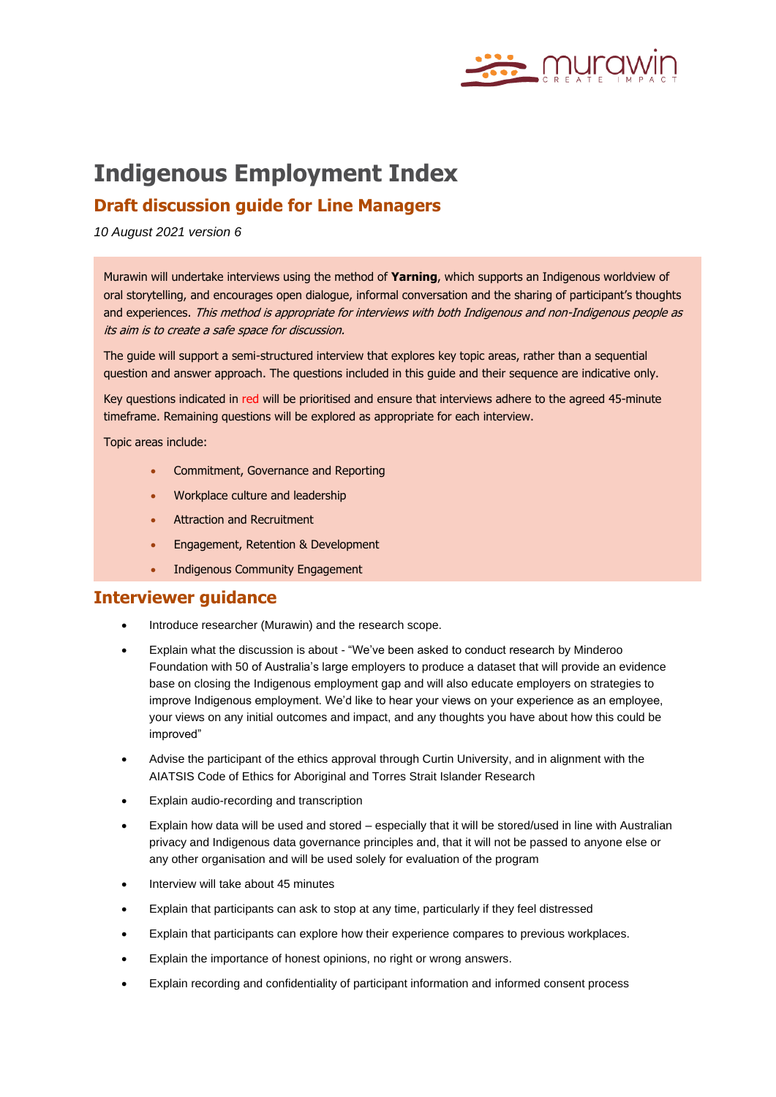

# **Indigenous Employment Index**

# **Draft discussion guide for Line Managers**

*10 August 2021 version 6*

Murawin will undertake interviews using the method of **Yarning**, which supports an Indigenous worldview of oral storytelling, and encourages open dialogue, informal conversation and the sharing of participant's thoughts and experiences. This method is appropriate for interviews with both Indigenous and non-Indigenous people as its aim is to create a safe space for discussion.

The guide will support a semi-structured interview that explores key topic areas, rather than a sequential question and answer approach. The questions included in this guide and their sequence are indicative only.

Key questions indicated in red will be prioritised and ensure that interviews adhere to the agreed 45-minute timeframe. Remaining questions will be explored as appropriate for each interview.

Topic areas include:

- Commitment, Governance and Reporting
- Workplace culture and leadership
- Attraction and Recruitment
- Engagement, Retention & Development
- Indigenous Community Engagement

## **Interviewer guidance**

- Introduce researcher (Murawin) and the research scope.
- Explain what the discussion is about "We've been asked to conduct research by Minderoo Foundation with 50 of Australia's large employers to produce a dataset that will provide an evidence base on closing the Indigenous employment gap and will also educate employers on strategies to improve Indigenous employment. We'd like to hear your views on your experience as an employee, your views on any initial outcomes and impact, and any thoughts you have about how this could be improved"
- Advise the participant of the ethics approval through Curtin University, and in alignment with the AIATSIS Code of Ethics for Aboriginal and Torres Strait Islander Research
- Explain audio-recording and transcription
- Explain how data will be used and stored especially that it will be stored/used in line with Australian privacy and Indigenous data governance principles and, that it will not be passed to anyone else or any other organisation and will be used solely for evaluation of the program
- Interview will take about 45 minutes
- Explain that participants can ask to stop at any time, particularly if they feel distressed
- Explain that participants can explore how their experience compares to previous workplaces.
- Explain the importance of honest opinions, no right or wrong answers.
- Explain recording and confidentiality of participant information and informed consent process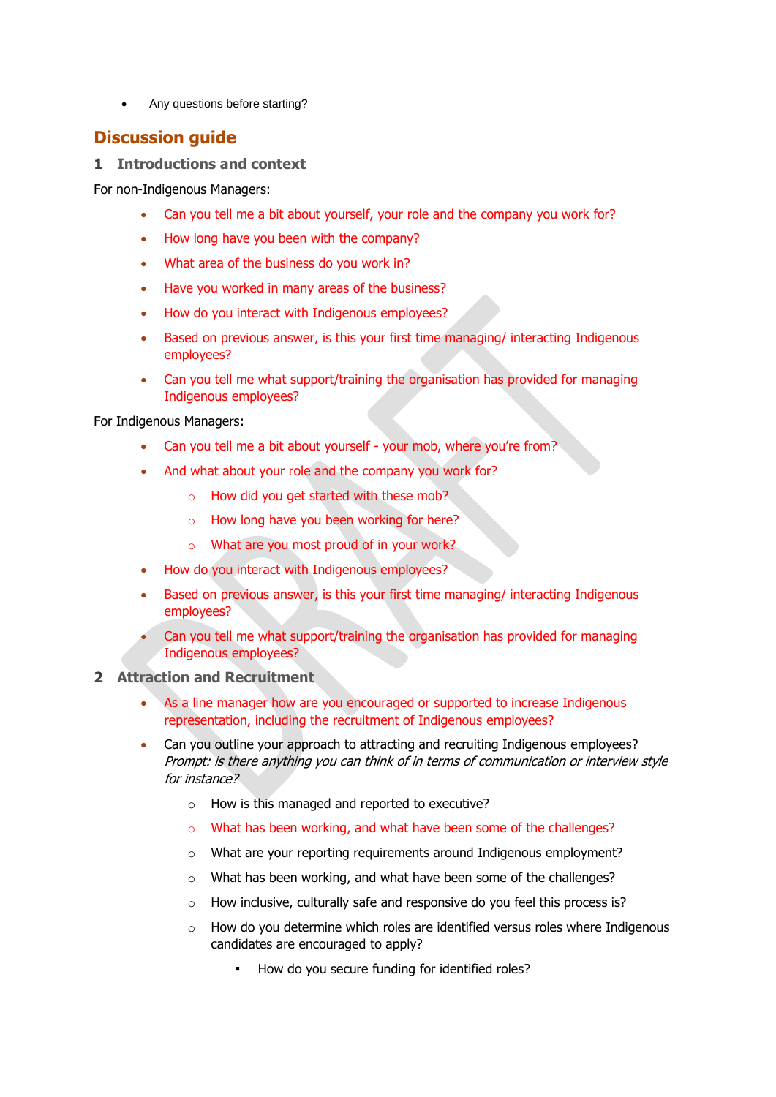• Any questions before starting?

## **Discussion guide**

#### **1 Introductions and context**

For non-Indigenous Managers:

- Can you tell me a bit about yourself, your role and the company you work for?
- How long have you been with the company?
- What area of the business do you work in?
- Have you worked in many areas of the business?
- How do you interact with Indigenous employees?
- Based on previous answer, is this your first time managing/ interacting Indigenous employees?
- Can you tell me what support/training the organisation has provided for managing Indigenous employees?

For Indigenous Managers:

- Can you tell me a bit about yourself your mob, where you're from?
- And what about your role and the company you work for?
	- $\circ$  How did you get started with these mob?
	- o How long have you been working for here?
	- o What are you most proud of in your work?
- How do you interact with Indigenous employees?
- Based on previous answer, is this your first time managing/ interacting Indigenous employees?
- Can you tell me what support/training the organisation has provided for managing Indigenous employees?

#### **2 Attraction and Recruitment**

- As a line manager how are you encouraged or supported to increase Indigenous representation, including the recruitment of Indigenous employees?
- Can you outline your approach to attracting and recruiting Indigenous employees? Prompt: is there anything you can think of in terms of communication or interview style for instance?
	- o How is this managed and reported to executive?
	- o What has been working, and what have been some of the challenges?
	- o What are your reporting requirements around Indigenous employment?
	- o What has been working, and what have been some of the challenges?
	- o How inclusive, culturally safe and responsive do you feel this process is?
	- o How do you determine which roles are identified versus roles where Indigenous candidates are encouraged to apply?
		- How do you secure funding for identified roles?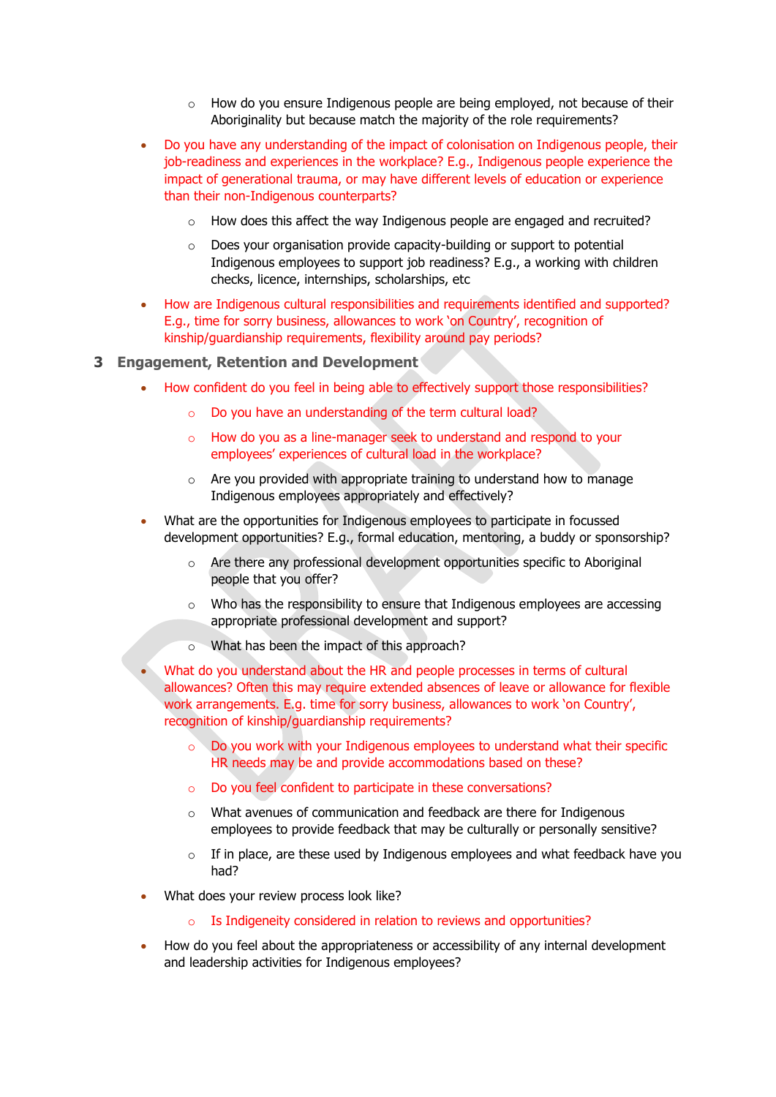- $\circ$  How do you ensure Indigenous people are being employed, not because of their Aboriginality but because match the majority of the role requirements?
- Do you have any understanding of the impact of colonisation on Indigenous people, their job-readiness and experiences in the workplace? E.g., Indigenous people experience the impact of generational trauma, or may have different levels of education or experience than their non-Indigenous counterparts?
	- o How does this affect the way Indigenous people are engaged and recruited?
	- $\circ$  Does your organisation provide capacity-building or support to potential Indigenous employees to support job readiness? E.g., a working with children checks, licence, internships, scholarships, etc
- How are Indigenous cultural responsibilities and requirements identified and supported? E.g., time for sorry business, allowances to work 'on Country', recognition of kinship/guardianship requirements, flexibility around pay periods?
- **3 Engagement, Retention and Development**
	- How confident do you feel in being able to effectively support those responsibilities?
		- o Do you have an understanding of the term cultural load?
		- o How do you as a line-manager seek to understand and respond to your employees' experiences of cultural load in the workplace?
		- o Are you provided with appropriate training to understand how to manage Indigenous employees appropriately and effectively?
	- What are the opportunities for Indigenous employees to participate in focussed development opportunities? E.g., formal education, mentoring, a buddy or sponsorship?
		- o Are there any professional development opportunities specific to Aboriginal people that you offer?
		- o Who has the responsibility to ensure that Indigenous employees are accessing appropriate professional development and support?
		- What has been the impact of this approach?

What do you understand about the HR and people processes in terms of cultural allowances? Often this may require extended absences of leave or allowance for flexible work arrangements. E.g. time for sorry business, allowances to work 'on Country', recognition of kinship/guardianship requirements?

- o Do you work with your Indigenous employees to understand what their specific HR needs may be and provide accommodations based on these?
- o Do you feel confident to participate in these conversations?
- o What avenues of communication and feedback are there for Indigenous employees to provide feedback that may be culturally or personally sensitive?
- $\circ$  If in place, are these used by Indigenous employees and what feedback have you had?
- What does your review process look like?
	- o Is Indigeneity considered in relation to reviews and opportunities?
- How do you feel about the appropriateness or accessibility of any internal development and leadership activities for Indigenous employees?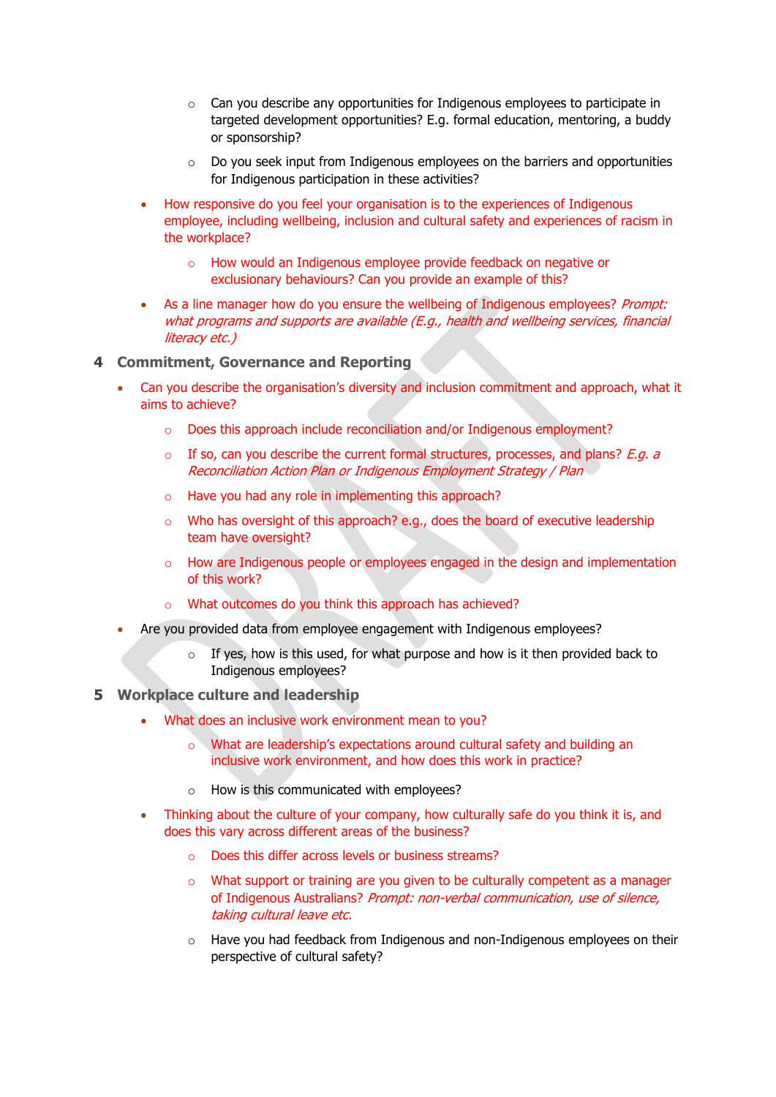- o Can you describe any opportunities for Indigenous employees to participate in targeted development opportunities? E.g. formal education, mentoring, a buddy or sponsorship?
- o Do you seek input from Indigenous employees on the barriers and opportunities for Indigenous participation in these activities?
- How responsive do you feel your organisation is to the experiences of Indigenous employee, including wellbeing, inclusion and cultural safety and experiences of racism in the workplace?
	- o How would an Indigenous employee provide feedback on negative or exclusionary behaviours? Can you provide an example of this?
- As a line manager how do you ensure the wellbeing of Indigenous employees? Prompt: what programs and supports are available (E.g., health and wellbeing services, financial literacy etc.)
- **4 Commitment, Governance and Reporting**
	- Can you describe the organisation's diversity and inclusion commitment and approach, what it aims to achieve?
		- o Does this approach include reconciliation and/or Indigenous employment?
		- $\circ$  If so, can you describe the current formal structures, processes, and plans? E.q. a Reconciliation Action Plan or Indigenous Employment Strategy / Plan
		- o Have you had any role in implementing this approach?
		- $\circ$  Who has oversight of this approach? e.g., does the board of executive leadership team have oversight?
		- o How are Indigenous people or employees engaged in the design and implementation of this work?
		- o What outcomes do you think this approach has achieved?
	- Are you provided data from employee engagement with Indigenous employees?
		- If yes, how is this used, for what purpose and how is it then provided back to Indigenous employees?

## **5 Workplace culture and leadership**

- What does an inclusive work environment mean to you?
	- o What are leadership's expectations around cultural safety and building an inclusive work environment, and how does this work in practice?
	- o How is this communicated with employees?
- Thinking about the culture of your company, how culturally safe do you think it is, and does this vary across different areas of the business?
	- o Does this differ across levels or business streams?
	- $\circ$  What support or training are you given to be culturally competent as a manager of Indigenous Australians? Prompt: non-verbal communication, use of silence, taking cultural leave etc.
	- $\circ$  Have you had feedback from Indigenous and non-Indigenous employees on their perspective of cultural safety?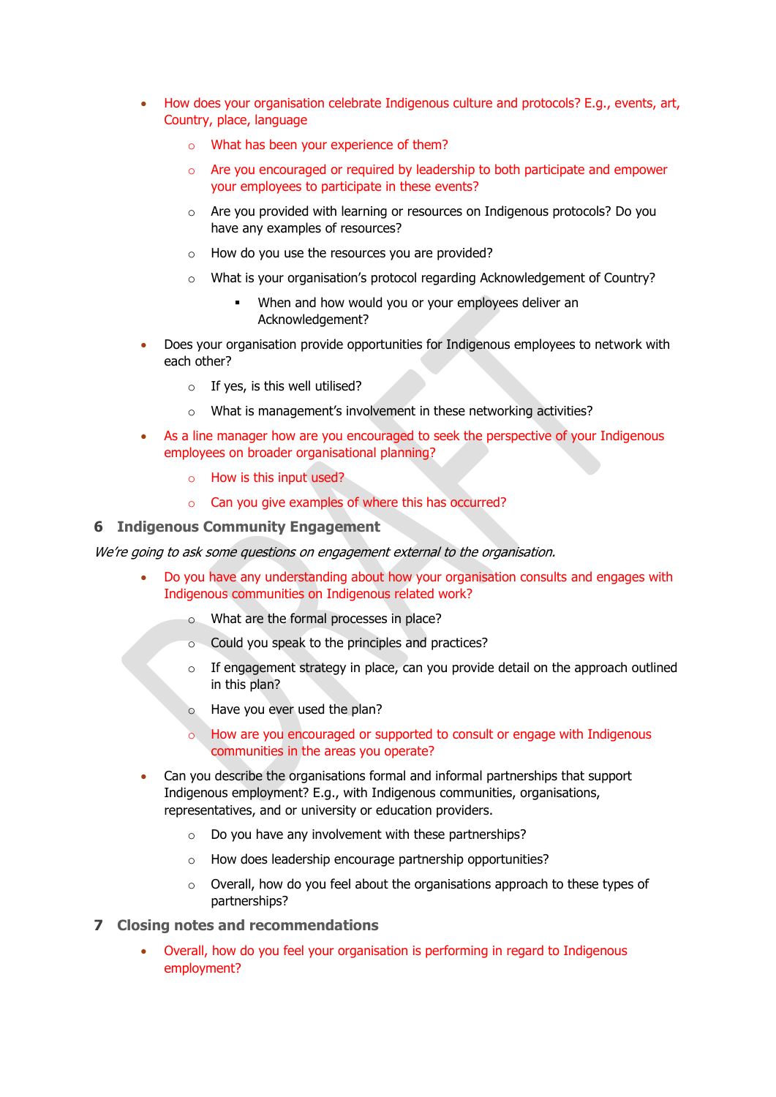- How does your organisation celebrate Indigenous culture and protocols? E.g., events, art, Country, place, language
	- o What has been your experience of them?
	- $\circ$  Are you encouraged or required by leadership to both participate and empower your employees to participate in these events?
	- o Are you provided with learning or resources on Indigenous protocols? Do you have any examples of resources?
	- $\circ$  How do you use the resources you are provided?
	- o What is your organisation's protocol regarding Acknowledgement of Country?
		- When and how would you or your employees deliver an Acknowledgement?
- Does your organisation provide opportunities for Indigenous employees to network with each other?
	- $\circ$  If yes, is this well utilised?
	- o What is management's involvement in these networking activities?
- As a line manager how are you encouraged to seek the perspective of your Indigenous employees on broader organisational planning?
	- o How is this input used?
	- o Can you give examples of where this has occurred?

#### **6 Indigenous Community Engagement**

We're going to ask some questions on engagement external to the organisation.

- Do you have any understanding about how your organisation consults and engages with Indigenous communities on Indigenous related work?
	- o What are the formal processes in place?
	- o Could you speak to the principles and practices?
	- $\circ$  If engagement strategy in place, can you provide detail on the approach outlined in this plan?
	- o Have you ever used the plan?
	- o How are you encouraged or supported to consult or engage with Indigenous communities in the areas you operate?
- Can you describe the organisations formal and informal partnerships that support Indigenous employment? E.g., with Indigenous communities, organisations, representatives, and or university or education providers.
	- $\circ$  Do you have any involvement with these partnerships?
	- o How does leadership encourage partnership opportunities?
	- $\circ$  Overall, how do you feel about the organisations approach to these types of partnerships?
- **7 Closing notes and recommendations**
	- Overall, how do you feel your organisation is performing in regard to Indigenous employment?